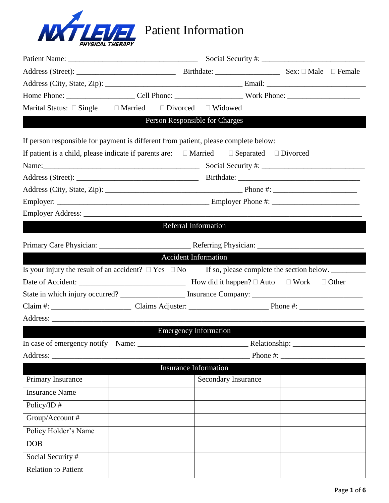

| Marital Status: $\square$ Single $\square$ Married                                                              |                             | $\Box$ Divorced $\Box$ Widowed |             |
|-----------------------------------------------------------------------------------------------------------------|-----------------------------|--------------------------------|-------------|
| <u> Maria Andrewski</u>                                                                                         |                             | Person Responsible for Charges |             |
| If person responsible for payment is different from patient, please complete below:                             |                             |                                |             |
| If patient is a child, please indicate if parents are: $\square$ Married $\square$ Separated $\square$ Divorced |                             |                                |             |
|                                                                                                                 |                             |                                |             |
|                                                                                                                 |                             |                                |             |
|                                                                                                                 |                             |                                |             |
|                                                                                                                 |                             |                                |             |
|                                                                                                                 |                             |                                |             |
|                                                                                                                 | Referral Information        |                                |             |
|                                                                                                                 |                             |                                |             |
|                                                                                                                 | <b>Accident Information</b> |                                |             |
| Is your injury the result of an accident? $\Box$ Yes $\Box$ No If so, please complete the section below.        |                             |                                |             |
|                                                                                                                 |                             |                                |             |
| State in which injury occurred? _________________ Insurance Company: _______________________________            |                             |                                |             |
|                                                                                                                 |                             |                                |             |
|                                                                                                                 |                             |                                |             |
|                                                                                                                 |                             | <b>Emergency Information</b>   |             |
|                                                                                                                 |                             |                                |             |
| Address:                                                                                                        |                             |                                | Phone $#$ : |
|                                                                                                                 |                             | <b>Insurance Information</b>   |             |
| Primary Insurance                                                                                               |                             | Secondary Insurance            |             |
| <b>Insurance Name</b>                                                                                           |                             |                                |             |
| Policy/ID $#$                                                                                                   |                             |                                |             |
| Group/Account #                                                                                                 |                             |                                |             |
| Policy Holder's Name                                                                                            |                             |                                |             |
| <b>DOB</b>                                                                                                      |                             |                                |             |
| Social Security #                                                                                               |                             |                                |             |
| <b>Relation to Patient</b>                                                                                      |                             |                                |             |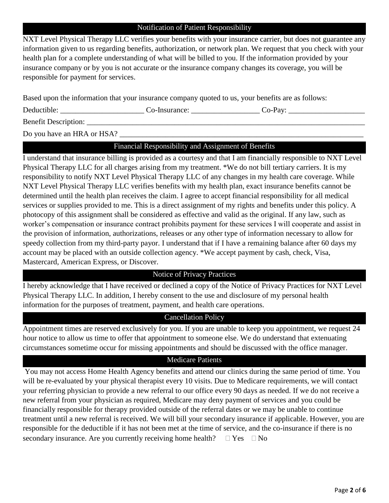#### Notification of Patient Responsibility

NXT Level Physical Therapy LLC verifies your benefits with your insurance carrier, but does not guarantee any information given to us regarding benefits, authorization, or network plan. We request that you check with your health plan for a complete understanding of what will be billed to you. If the information provided by your insurance company or by you is not accurate or the insurance company changes its coverage, you will be responsible for payment for services.

Based upon the information that your insurance company quoted to us, your benefits are as follows:

Deductible: \_\_\_\_\_\_\_\_\_\_\_\_\_\_\_\_\_\_\_\_\_\_ Co-Insurance: \_\_\_\_\_\_\_\_\_\_\_\_\_\_\_\_\_\_ Co-Pay: \_\_\_\_\_\_\_\_\_\_\_\_\_\_\_\_\_\_\_\_

Benefit Description:

Do you have an HRA or HSA?

# Financial Responsibility and Assignment of Benefits

I understand that insurance billing is provided as a courtesy and that I am financially responsible to NXT Level Physical Therapy LLC for all charges arising from my treatment. \*We do not bill tertiary carriers. It is my responsibility to notify NXT Level Physical Therapy LLC of any changes in my health care coverage. While NXT Level Physical Therapy LLC verifies benefits with my health plan, exact insurance benefits cannot be determined until the health plan receives the claim. I agree to accept financial responsibility for all medical services or supplies provided to me. This is a direct assignment of my rights and benefits under this policy. A photocopy of this assignment shall be considered as effective and valid as the original. If any law, such as worker's compensation or insurance contract prohibits payment for these services I will cooperate and assist in the provision of information, authorizations, releases or any other type of information necessary to allow for speedy collection from my third-party payor. I understand that if I have a remaining balance after 60 days my account may be placed with an outside collection agency. \*We accept payment by cash, check, Visa, Mastercard, American Express, or Discover.

#### Notice of Privacy Practices

I hereby acknowledge that I have received or declined a copy of the Notice of Privacy Practices for NXT Level Physical Therapy LLC. In addition, I hereby consent to the use and disclosure of my personal health information for the purposes of treatment, payment, and health care operations.

## Cancellation Policy

Appointment times are reserved exclusively for you. If you are unable to keep you appointment, we request 24 hour notice to allow us time to offer that appointment to someone else. We do understand that extenuating circumstances sometime occur for missing appointments and should be discussed with the office manager.

## Medicare Patients

You may not access Home Health Agency benefits and attend our clinics during the same period of time. You will be re-evaluated by your physical therapist every 10 visits. Due to Medicare requirements, we will contact your referring physician to provide a new referral to our office every 90 days as needed. If we do not receive a new referral from your physician as required, Medicare may deny payment of services and you could be financially responsible for therapy provided outside of the referral dates or we may be unable to continue treatment until a new referral is received. We will bill your secondary insurance if applicable. However, you are responsible for the deductible if it has not been met at the time of service, and the co-insurance if there is no secondary insurance. Are you currently receiving home health?  $\Box$  Yes  $\Box$  No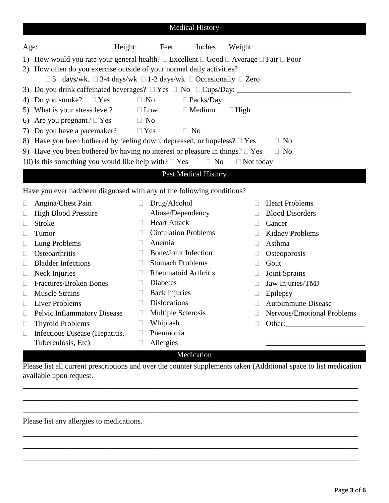| <b>Medical History</b>                                                                                                                                                                  |                                       |                                                                                          |              |                                                                                                                   |  |
|-----------------------------------------------------------------------------------------------------------------------------------------------------------------------------------------|---------------------------------------|------------------------------------------------------------------------------------------|--------------|-------------------------------------------------------------------------------------------------------------------|--|
| Age:                                                                                                                                                                                    |                                       | Height: ______ Feet ______ Inches Weight: ___________                                    |              |                                                                                                                   |  |
| 1) How would you rate your general health? $\Box$ Excellent $\Box$ Good $\Box$ Average $\Box$ Fair $\Box$ Poor<br>2) How often do you exercise outside of your normal daily activities? |                                       |                                                                                          |              |                                                                                                                   |  |
|                                                                                                                                                                                         |                                       | $\Box$ 5+ days/wk. $\Box$ 3-4 days/wk $\Box$ 1-2 days/wk $\Box$ Occasionally $\Box$ Zero |              |                                                                                                                   |  |
|                                                                                                                                                                                         |                                       |                                                                                          |              |                                                                                                                   |  |
| 4)                                                                                                                                                                                      | Do you smoke? $\Box$ Yes $\Box$ No    |                                                                                          |              |                                                                                                                   |  |
| 5)                                                                                                                                                                                      | What is your stress level? $\Box$ Low | $\Box$ Medium<br>$\Box$ High                                                             |              |                                                                                                                   |  |
| Are you pregnant? $\Box$ Yes<br>6)                                                                                                                                                      | $\Box$ No                             |                                                                                          |              |                                                                                                                   |  |
| Do you have a pacemaker? $\square$ Yes<br>7)                                                                                                                                            |                                       | $\Box$ No                                                                                |              |                                                                                                                   |  |
|                                                                                                                                                                                         |                                       | 8) Have you been bothered by feeling down, depressed, or hopeless? $\Box$ Yes            |              | $\Box$ No                                                                                                         |  |
|                                                                                                                                                                                         |                                       | 9) Have you been bothered by having no interest or pleasure in things? $\Box$ Yes        |              | $\Box$ No                                                                                                         |  |
| 10) Is this something you would like help with? $\Box$ Yes                                                                                                                              |                                       | $\Box$ No<br>$\Box$ Not today                                                            |              |                                                                                                                   |  |
|                                                                                                                                                                                         |                                       | Past Medical History                                                                     |              |                                                                                                                   |  |
|                                                                                                                                                                                         |                                       | Have you ever had/been diagnosed with any of the following conditions?                   |              |                                                                                                                   |  |
| Angina/Chest Pain<br>$\Box$                                                                                                                                                             | $\Box$                                | Drug/Alcohol                                                                             | $\mathbf{L}$ | <b>Heart Problems</b>                                                                                             |  |
| <b>High Blood Pressure</b><br>$\Box$                                                                                                                                                    |                                       | Abuse/Dependency                                                                         | $\mathbf{I}$ | <b>Blood Disorders</b>                                                                                            |  |
| <b>Stroke</b><br>$\Box$                                                                                                                                                                 | $\Box$                                | <b>Heart Attack</b>                                                                      | □            | Cancer                                                                                                            |  |
| Tumor<br>u                                                                                                                                                                              | $\Box$                                | <b>Circulation Problems</b>                                                              |              | <b>Kidney Problems</b>                                                                                            |  |
| Lung Problems<br>Ц                                                                                                                                                                      | Anemia<br>$\Box$                      |                                                                                          | $\mathbf{I}$ | Asthma                                                                                                            |  |
| Osteoarthritis<br>Ш                                                                                                                                                                     | П                                     | <b>Bone/Joint Infection</b>                                                              |              | Osteoporosis                                                                                                      |  |
| <b>Bladder Infections</b><br>$\Box$                                                                                                                                                     | $\Box$                                | <b>Stomach Problems</b>                                                                  | $\Box$       | Gout                                                                                                              |  |
| Neck Injuries<br>$\Box$                                                                                                                                                                 | $\Box$                                | <b>Rheumatoid Arthritis</b>                                                              | $\Box$       | Joint Sprains                                                                                                     |  |
| Fractures/Broken Bones<br>Ш                                                                                                                                                             | Diabetes<br>$\Box$                    |                                                                                          | $\Box$       | Jaw Injuries/TMJ                                                                                                  |  |
| <b>Muscle Strains</b><br>⊔                                                                                                                                                              | $\Box$                                | <b>Back Injuries</b>                                                                     | Ш            | Epilepsy                                                                                                          |  |
| <b>Liver Problems</b><br>$\Box$                                                                                                                                                         | $\Box$                                | <b>Dislocations</b>                                                                      |              | <b>Autoimmune Disease</b>                                                                                         |  |
| <b>Pelvic Inflammatory Disease</b><br>u                                                                                                                                                 |                                       | Multiple Sclerosis                                                                       |              | Nervous/Emotional Problems                                                                                        |  |
| <b>Thyroid Problems</b><br>$\Box$                                                                                                                                                       | Whiplash                              |                                                                                          |              | Other:                                                                                                            |  |
| Infectious Disease (Hepatitis,<br>Ш                                                                                                                                                     | Pneumonia<br>$\Box$                   |                                                                                          |              |                                                                                                                   |  |
| Tuberculosis, Etc)                                                                                                                                                                      | Allergies<br>$\mathbf{L}$             |                                                                                          |              |                                                                                                                   |  |
|                                                                                                                                                                                         |                                       | Medication                                                                               |              |                                                                                                                   |  |
|                                                                                                                                                                                         |                                       |                                                                                          |              | Please list all current prescriptions and over the counter supplements taken (Additional space to list medication |  |

available upon request.

\_\_\_\_\_\_\_\_\_\_\_\_\_\_\_\_\_\_\_\_\_\_\_\_\_\_\_\_\_\_\_\_\_\_\_\_\_\_\_\_\_\_\_\_\_\_\_\_\_\_\_\_\_\_\_\_\_\_\_\_\_\_\_\_\_\_\_\_\_\_\_\_\_\_\_\_\_\_\_\_\_\_\_\_\_\_\_\_ \_\_\_\_\_\_\_\_\_\_\_\_\_\_\_\_\_\_\_\_\_\_\_\_\_\_\_\_\_\_\_\_\_\_\_\_\_\_\_\_\_\_\_\_\_\_\_\_\_\_\_\_\_\_\_\_\_\_\_\_\_\_\_\_\_\_\_\_\_\_\_\_\_\_\_\_\_\_\_\_\_\_\_\_\_\_\_\_ \_\_\_\_\_\_\_\_\_\_\_\_\_\_\_\_\_\_\_\_\_\_\_\_\_\_\_\_\_\_\_\_\_\_\_\_\_\_\_\_\_\_\_\_\_\_\_\_\_\_\_\_\_\_\_\_\_\_\_\_\_\_\_\_\_\_\_\_\_\_\_\_\_\_\_\_\_\_\_\_\_\_\_\_\_\_\_\_

\_\_\_\_\_\_\_\_\_\_\_\_\_\_\_\_\_\_\_\_\_\_\_\_\_\_\_\_\_\_\_\_\_\_\_\_\_\_\_\_\_\_\_\_\_\_\_\_\_\_\_\_\_\_\_\_\_\_\_\_\_\_\_\_\_\_\_\_\_\_\_\_\_\_\_\_\_\_\_\_\_\_\_\_\_\_\_\_ \_\_\_\_\_\_\_\_\_\_\_\_\_\_\_\_\_\_\_\_\_\_\_\_\_\_\_\_\_\_\_\_\_\_\_\_\_\_\_\_\_\_\_\_\_\_\_\_\_\_\_\_\_\_\_\_\_\_\_\_\_\_\_\_\_\_\_\_\_\_\_\_\_\_\_\_\_\_\_\_\_\_\_\_\_\_\_\_ \_\_\_\_\_\_\_\_\_\_\_\_\_\_\_\_\_\_\_\_\_\_\_\_\_\_\_\_\_\_\_\_\_\_\_\_\_\_\_\_\_\_\_\_\_\_\_\_\_\_\_\_\_\_\_\_\_\_\_\_\_\_\_\_\_\_\_\_\_\_\_\_\_\_\_\_\_\_\_\_\_\_\_\_\_\_\_\_

Please list any allergies to medications.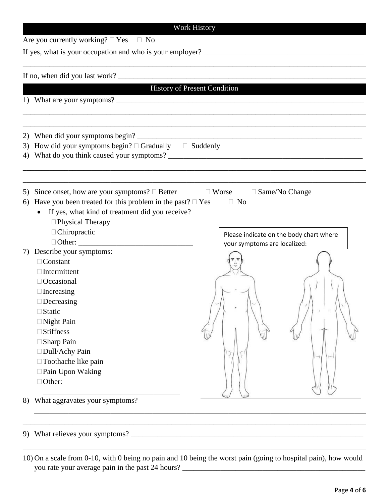|          |                                                                                                                                            | History of Present Condition            |  |
|----------|--------------------------------------------------------------------------------------------------------------------------------------------|-----------------------------------------|--|
|          | 1) What are your symptoms?                                                                                                                 |                                         |  |
|          |                                                                                                                                            |                                         |  |
| 3)<br>4) | How did your symptoms begin? $\Box$ Gradually $\Box$ Suddenly                                                                              |                                         |  |
|          |                                                                                                                                            |                                         |  |
| 5)<br>6) | Since onset, how are your symptoms? $\Box$ Better $\Box$ Worse<br>Have you been treated for this problem in the past? $\Box$ Yes $\Box$ No | $\Box$ Same/No Change                   |  |
|          |                                                                                                                                            |                                         |  |
|          |                                                                                                                                            |                                         |  |
|          | If yes, what kind of treatment did you receive?                                                                                            |                                         |  |
|          | □ Physical Therapy                                                                                                                         |                                         |  |
|          | □ Chiropractic                                                                                                                             | Please indicate on the body chart where |  |
|          |                                                                                                                                            | your symptoms are localized:            |  |
|          | Describe your symptoms:                                                                                                                    |                                         |  |
|          | $\Box$ Constant                                                                                                                            |                                         |  |
|          | $\Box$ Intermittent                                                                                                                        |                                         |  |
|          | $\Box$ Occasional                                                                                                                          |                                         |  |
|          | $\Box$ Increasing                                                                                                                          |                                         |  |
|          | $\Box$ Decreasing                                                                                                                          |                                         |  |
|          | ∃Static                                                                                                                                    |                                         |  |
|          | □ Night Pain                                                                                                                               |                                         |  |
|          | $\square$ Stiffness                                                                                                                        |                                         |  |
|          | $\Box$ Sharp Pain                                                                                                                          |                                         |  |
|          | □ Dull/Achy Pain                                                                                                                           |                                         |  |
|          | □ Toothache like pain                                                                                                                      |                                         |  |
|          | □ Pain Upon Waking                                                                                                                         |                                         |  |
| 7)       | □ Other:                                                                                                                                   |                                         |  |

10) On a scale from 0-10, with 0 being no pain and 10 being the worst pain (going to hospital pain), how would you rate your average pain in the past 24 hours? \_\_\_\_\_\_\_\_\_\_\_\_\_\_\_\_\_\_\_\_\_\_\_\_\_\_\_\_\_\_\_\_\_\_\_\_\_\_\_\_\_\_\_\_\_\_\_\_

\_\_\_\_\_\_\_\_\_\_\_\_\_\_\_\_\_\_\_\_\_\_\_\_\_\_\_\_\_\_\_\_\_\_\_\_\_\_\_\_\_\_\_\_\_\_\_\_\_\_\_\_\_\_\_\_\_\_\_\_\_\_\_\_\_\_\_\_\_\_\_\_\_\_\_\_\_\_\_\_\_\_\_\_\_\_\_\_\_\_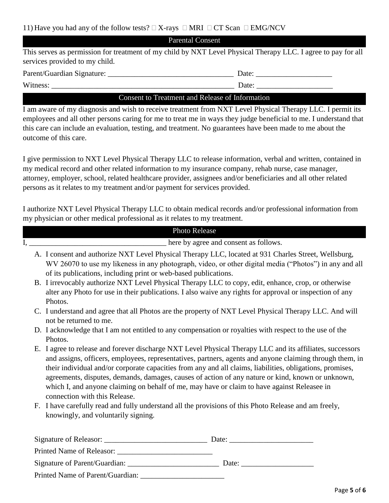| <b>Parental Consent</b> |
|-------------------------|
|-------------------------|

This serves as permission for treatment of my child by NXT Level Physical Therapy LLC. I agree to pay for all services provided to my child.

Parent/Guardian Signature: \_\_\_\_\_\_\_\_\_\_\_\_\_\_\_\_\_\_\_\_\_\_\_\_\_\_\_\_\_\_\_\_\_ Date: \_\_\_\_\_\_\_\_\_\_\_\_\_\_\_\_\_\_\_\_

 $\Box$  Date:

## Consent to Treatment and Release of Information

I am aware of my diagnosis and wish to receive treatment from NXT Level Physical Therapy LLC. I permit its employees and all other persons caring for me to treat me in ways they judge beneficial to me. I understand that this care can include an evaluation, testing, and treatment. No guarantees have been made to me about the outcome of this care.

I give permission to NXT Level Physical Therapy LLC to release information, verbal and written, contained in my medical record and other related information to my insurance company, rehab nurse, case manager, attorney, employer, school, related healthcare provider, assignees and/or beneficiaries and all other related persons as it relates to my treatment and/or payment for services provided.

I authorize NXT Level Physical Therapy LLC to obtain medical records and/or professional information from my physician or other medical professional as it relates to my treatment.

|  | Photo Release                                                                                                                                                                                                                                                                                                                                                                                                                                                                                                                                                           |
|--|-------------------------------------------------------------------------------------------------------------------------------------------------------------------------------------------------------------------------------------------------------------------------------------------------------------------------------------------------------------------------------------------------------------------------------------------------------------------------------------------------------------------------------------------------------------------------|
|  | <b>EXECUTE:</b> There by agree and consent as follows.                                                                                                                                                                                                                                                                                                                                                                                                                                                                                                                  |
|  | A. I consent and authorize NXT Level Physical Therapy LLC, located at 931 Charles Street, Wellsburg,<br>WV 26070 to use my likeness in any photograph, video, or other digital media ("Photos") in any and all<br>of its publications, including print or web-based publications.                                                                                                                                                                                                                                                                                       |
|  | B. I irrevocably authorize NXT Level Physical Therapy LLC to copy, edit, enhance, crop, or otherwise<br>alter any Photo for use in their publications. I also waive any rights for approval or inspection of any<br>Photos.                                                                                                                                                                                                                                                                                                                                             |
|  | C. I understand and agree that all Photos are the property of NXT Level Physical Therapy LLC. And will<br>not be returned to me.                                                                                                                                                                                                                                                                                                                                                                                                                                        |
|  | D. I acknowledge that I am not entitled to any compensation or royalties with respect to the use of the<br>Photos.                                                                                                                                                                                                                                                                                                                                                                                                                                                      |
|  | E. I agree to release and forever discharge NXT Level Physical Therapy LLC and its affiliates, successors<br>and assigns, officers, employees, representatives, partners, agents and anyone claiming through them, in<br>their individual and/or corporate capacities from any and all claims, liabilities, obligations, promises,<br>agreements, disputes, demands, damages, causes of action of any nature or kind, known or unknown,<br>which I, and anyone claiming on behalf of me, may have or claim to have against Releasee in<br>connection with this Release. |
|  | F. I have carefully read and fully understand all the provisions of this Photo Release and am freely,<br>knowingly, and voluntarily signing.                                                                                                                                                                                                                                                                                                                                                                                                                            |
|  |                                                                                                                                                                                                                                                                                                                                                                                                                                                                                                                                                                         |
|  |                                                                                                                                                                                                                                                                                                                                                                                                                                                                                                                                                                         |
|  | Date:                                                                                                                                                                                                                                                                                                                                                                                                                                                                                                                                                                   |

Printed Name of Parent/Guardian: \_\_\_\_\_\_\_\_\_\_\_\_\_\_\_\_\_\_\_\_\_\_